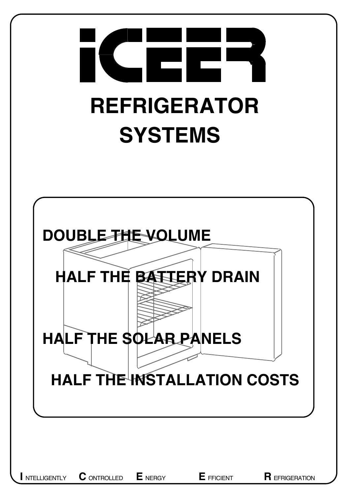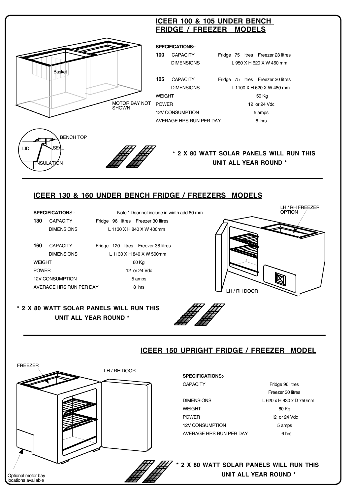

 DIMENSIONS L 1130 X H 840 X W 500mm WEIGHT 60 Kg POWER 12 or 24 Vdc 12V CONSUMPTION 5 amps AVERAGE HRS RUN PER DAY 8 hrs

#### **\* 2 X 80 WATT SOLAR PANELS WILL RUN THIS UNIT ALL YEAR ROUND \***



### **ICEER 150 UPRIGHT FRIDGE / FREEZER MODEL**

LH / RH DOOR

LH / RH DOOR FREEZER Optional motor bay locations available

#### **SPECIFICATION**S:-

DIMENSIONS L 620 x H 830 x D 750mm WEIGHT 60 Kg POWER 12 or 24 Vdc 12V CONSUMPTION 5 amps AVERAGE HRS RUN PER DAY 6hrs

CAPACITY Fridge 96 litres Freezer 30 litres

**\* 2 X 80 WATT SOLAR PANELS WILL RUN THIS UNIT ALL YEAR ROUND \***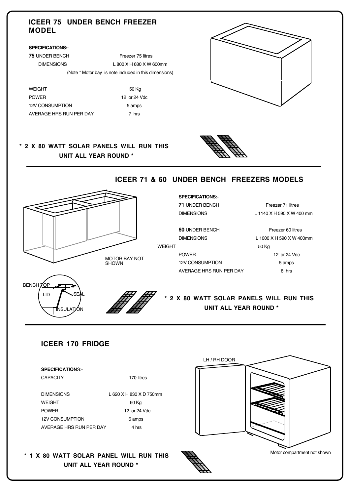#### **ICEER 75 UNDER BENCH FREEZER MODEL**

#### **SPECIFICATIONS:-**

**75 UNDER BENCH Freezer 75 litres**  DIMENSIONS L 800 X H 680 X W 600mm (Note \* Motor bay is note included in this dimensions)

WEIGHT 50 Kg POWER 12 or 24 Vdc 12V CONSUMPTION 5 amps AVERAGE HRS RUN PER DAY 7 hrs

MOTOR BAY NOT SHOWN



#### **\* 2 X 80 WATT SOLAR PANELS WILL RUN THIS UNIT ALL YEAR ROUND \***



# **ICEER 71 & 60 UNDER BENCH FREEZERS MODELS SPECIFICATIONS:- 71 UNDER BENCH Freezer 71 litres**  DIMENSIONS L 1140 X H 590 X W 400 mm **60** UNDER BENCH Freezer 60 litres DIMENSIONS L 1000 X H 590 X W 400mm

#### WEIGHT 50 Kg

POWER 12 or 24 Vdc 12V CONSUMPTION 5 amps AVERAGE HRS RUN PER DAY 8 hrs



## **\* 2 X 80 WATT SOLAR PANELS WILL RUN THIS UNIT ALL YEAR ROUND \***

#### **ICEER 170 FRIDGE**

| <b>SPECIFICATIONS:-</b> |                         |
|-------------------------|-------------------------|
| <b>CAPACITY</b>         | 170 litres              |
| <b>DIMENSIONS</b>       | 1 620 X H 830 X D 750mm |
|                         |                         |
| <b>WFIGHT</b>           | 60 Kg                   |
| <b>POWER</b>            | 12 or 24 Vdc            |
| <b>12V CONSUMPTION</b>  | 6 amps                  |
| AVERAGE HRS RUN PER DAY | 4 hrs                   |
|                         |                         |

**\* 1 X 80 WATT SOLAR PANEL WILL RUN THIS UNIT ALL YEAR ROUND \***